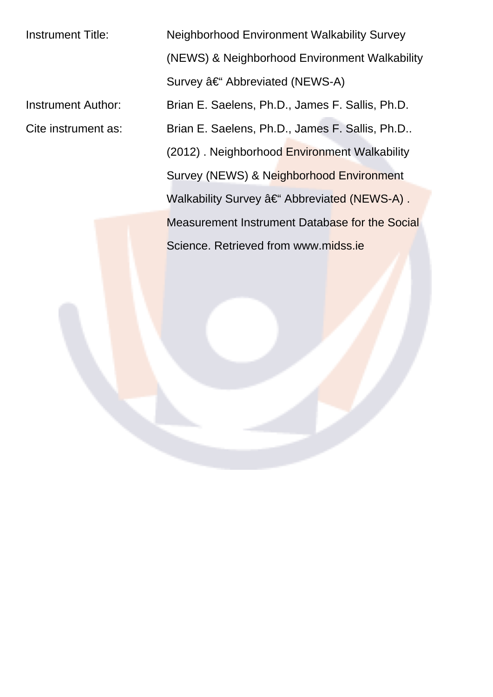Instrument Title: Neighborhood Environment Walkability Survey (NEWS) & Neighborhood Environment Walkability Survey – Abbreviated (NEWS-A) Instrument Author: Brian E. Saelens, Ph.D., James F. Sallis, Ph.D. Cite instrument as: Brian E. Saelens, Ph.D., James F. Sallis, Ph.D.. (2012) . Neighborhood Environment Walkability Survey (NEWS) & Neighborhood Environment Walkability Survey – Abbreviated (NEWS-A). Measurement Instrument Database for the Social Science. Retrieved from www.midss.ie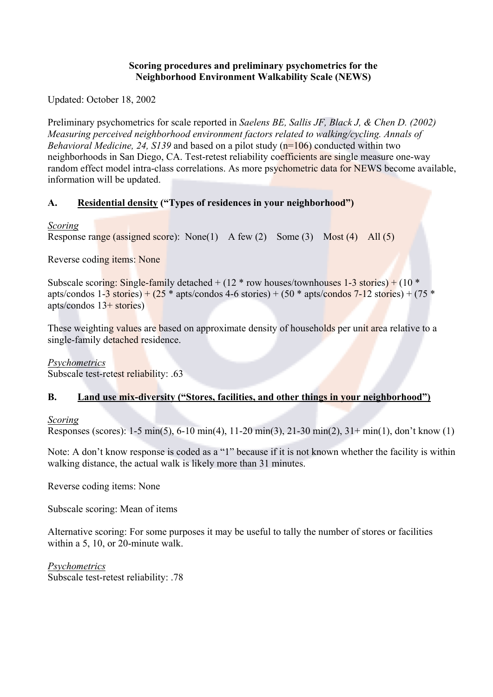#### **Scoring procedures and preliminary psychometrics for the Neighborhood Environment Walkability Scale (NEWS)**

Updated: October 18, 2002

Preliminary psychometrics for scale reported in *Saelens BE, Sallis JF, Black J, & Chen D. (2002) Measuring perceived neighborhood environment factors related to walking/cycling. Annals of Behavioral Medicine, 24, S139* and based on a pilot study (n=106) conducted within two neighborhoods in San Diego, CA. Test-retest reliability coefficients are single measure one-way random effect model intra-class correlations. As more psychometric data for NEWS become available, information will be updated.

# **A. Residential density ("Types of residences in your neighborhood")**

## *Scoring*

Response range (assigned score): None(1) A few (2) Some (3) Most (4) All (5)

Reverse coding items: None

Subscale scoring: Single-family detached  $+ (12 * row houses/townhouses 1-3 stories) + (10 *$ apts/condos  $1-\frac{3}{5}$  stories) + (25  $*$  apts/condos 4-6 stories) + (50  $*$  apts/condos 7-12 stories) + (75  $*$ apts/condos  $13+$  stories)

These weighting values are based on approximate density of households per unit area relative to a single-family detached residence.

# *Psychometrics*

Subscale test-retest reliability: .63

# **B. Land use mix-diversity ("Stores, facilities, and other things in your neighborhood")**

# *Scoring*

Responses (scores): 1-5 min(5), 6-10 min(4), 11-20 min(3), 21-30 min(2), 31+ min(1), don't know (1)

Note: A don't know response is coded as a "1" because if it is not known whether the facility is within walking distance, the actual walk is likely more than 31 minutes.

Reverse coding items: None

Subscale scoring: Mean of items

Alternative scoring: For some purposes it may be useful to tally the number of stores or facilities within a 5, 10, or 20-minute walk.

*Psychometrics* Subscale test-retest reliability: .78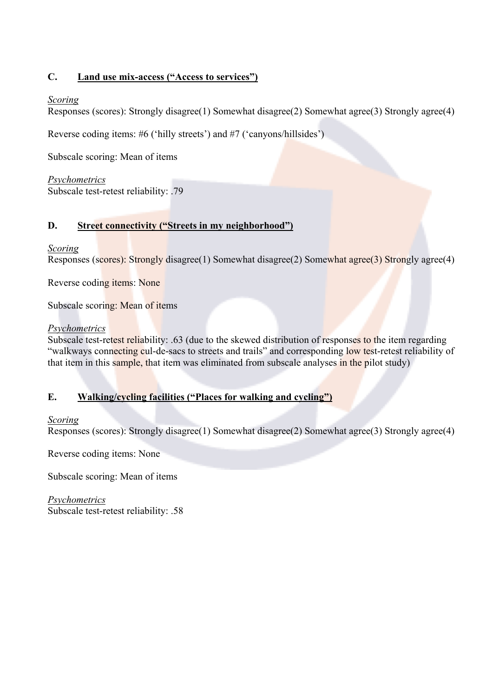## **C. Land use mix-access ("Access to services")**

### *Scoring*

Responses (scores): Strongly disagree(1) Somewhat disagree(2) Somewhat agree(3) Strongly agree(4)

Reverse coding items: #6 ('hilly streets') and #7 ('canyons/hillsides')

Subscale scoring: Mean of items

*Psychometrics* Subscale test-retest reliability: .79

## **D. Street connectivity ("Streets in my neighborhood")**

### *Scoring*

Responses (scores): Strongly disagree(1) Somewhat disagree(2) Somewhat agree(3) Strongly agree(4)

Reverse coding items: None

Subscale scoring: Mean of items

#### *Psychometrics*

Subscale test-retest reliability: .63 (due to the skewed distribution of responses to the item regarding "walkways connecting cul-de-sacs to streets and trails" and corresponding low test-retest reliability of that item in this sample, that item was eliminated from subscale analyses in the pilot study)

### **E. Walking/cycling facilities ("Places for walking and cycling")**

### *Scoring*

Responses (scores): Strongly disagree(1) Somewhat disagree(2) Somewhat agree(3) Strongly agree(4)

Reverse coding items: None

Subscale scoring: Mean of items

*Psychometrics* Subscale test-retest reliability: .58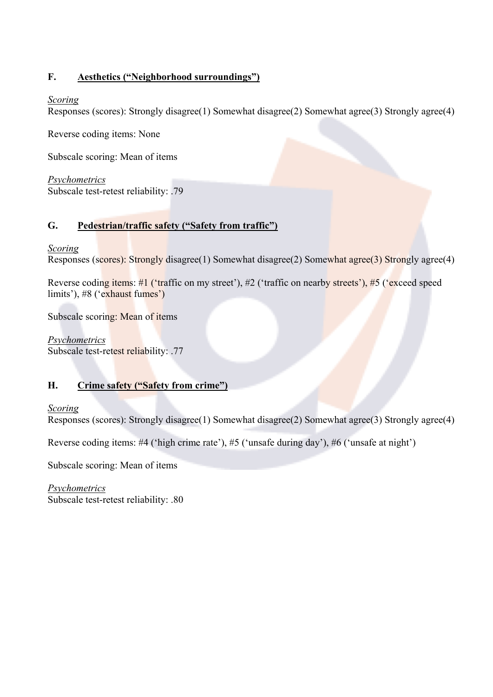## **F. Aesthetics ("Neighborhood surroundings")**

### *Scoring*

Responses (scores): Strongly disagree(1) Somewhat disagree(2) Somewhat agree(3) Strongly agree(4)

Reverse coding items: None

Subscale scoring: Mean of items

*Psychometrics* Subscale test-retest reliability: .79

## **G. Pedestrian/traffic safety ("Safety from traffic")**

### *Scoring*

Responses (scores): Strongly disagree(1) Somewhat disagree(2) Somewhat agree(3) Strongly agree(4)

Reverse coding items: #1 ('traffic on my street'), #2 ('traffic on nearby streets'), #5 ('exceed speed limits'), #8 ('exhaust fumes')

Subscale scoring: Mean of items

*Psychometrics* Subscale test-retest reliability: .77

# **H. Crime safety ("Safety from crime")**

### *Scoring*

Responses (scores): Strongly disagree(1) Somewhat disagree(2) Somewhat agree(3) Strongly agree(4)

Reverse coding items: #4 ('high crime rate'), #5 ('unsafe during day'), #6 ('unsafe at night')

Subscale scoring: Mean of items

*Psychometrics* Subscale test-retest reliability: .80